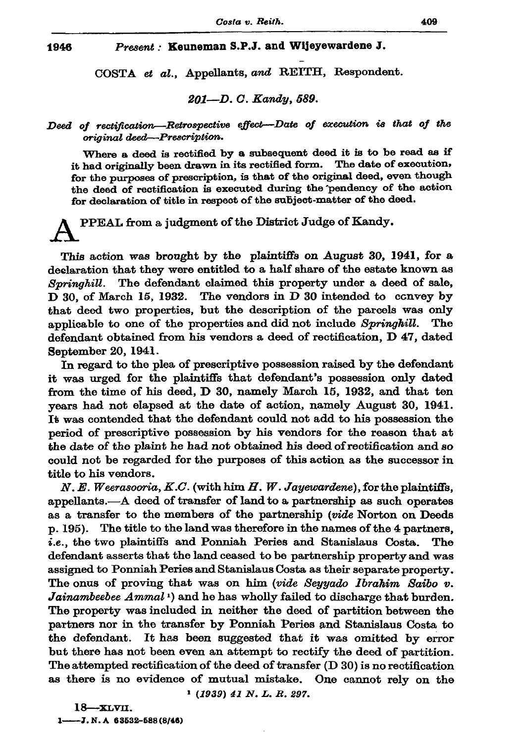## Present: Keuneman S.P.J. and Wijeyewardene J. 1946

COSTA et al., Appellants, and REITH, Respondent.

201-D. C. Kandy, 589.

## Deed of rectification-Retrospective effect-Date of execution is that of the original deed-Prescription.

Where a deed is rectified by a subsequent deed it is to be read as if it had originally been drawn in its rectified form. The date of execution, for the purposes of prescription, is that of the original deed, even though the deed of rectification is executed during the pendency of the action for declaration of title in respect of the subject-matter of the deed.

## PPEAL from a judgment of the District Judge of Kandy.

This action was brought by the plaintiffs on August 30, 1941, for a declaration that they were entitled to a half share of the estate known as Springhill. The defendant claimed this property under a deed of sale, D 30, of March 15, 1932. The vendors in D 30 intended to convey by that deed two properties, but the description of the parcels was only applicable to one of the properties and did not include Springhill. The defendant obtained from his vendors a deed of rectification, D 47, dated September 20, 1941.

In regard to the plea of prescriptive possession raised by the defendant it was urged for the plaintiffs that defendant's possession only dated from the time of his deed, D 30, namely March 15, 1932, and that ten years had not elapsed at the date of action, namely August 30, 1941. It was contended that the defendant could not add to his possession the period of prescriptive possession by his vendors for the reason that at the date of the plaint he had not obtained his deed of rectification and so could not be regarded for the purposes of this action as the successor in title to his vendors.

N. E. Weerasooria, K.C. (with him H. W. Jayewardene), for the plaintiffs, appellants.—A deed of transfer of land to a partnership as such operates as a transfer to the members of the partnership (vide Norton on Deeds p. 195). The title to the land was therefore in the names of the 4 partners, *i.e.*, the two plaintiffs and Ponniah Peries and Stanislaus Costa. The defendant asserts that the land ceased to be partnership property and was assigned to Ponniah Peries and Stanislaus Costa as their separate property. The onus of proving that was on him (vide Seyyado Ibrahim Saibo v. Jainambeebee Ammal<sup>1</sup>) and he has wholly failed to discharge that burden. The property was included in neither the deed of partition between the partners nor in the transfer by Ponniah Peries and Stanislaus Costa to It has been suggested that it was omitted by error the defendant. but there has not been even an attempt to rectify the deed of partition. The attempted rectification of the deed of transfer (D 30) is no rectification as there is no evidence of mutual mistake. One cannot rely on the  $1(1939) 41 N. L. R. 297.$ 

 $18 - x$ LVII. 1- $-J. N. A$  63532-588 (8/46)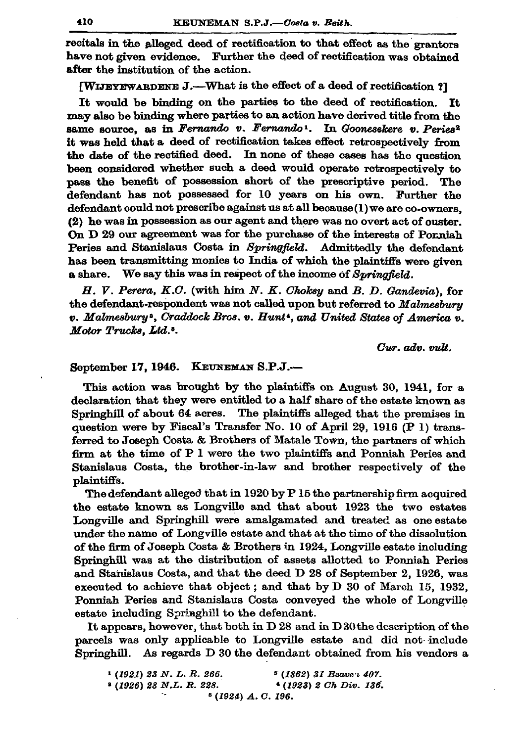recitals in the alleged deed of rectification to that effect as the grantors have not given evidence. Further the deed of rectification was obtained after the institution of the action.

**[WIJEYEWARDENE J.—What is the effect of a deed of rectification ?]** 

It would be binding on the parties to the deed of rectification. It may also be binding where parties to an action have derived title from the same source, as in Fernando v. Fernando<sup>1</sup>. In Goonesekere v. Peries<sup>2</sup> it was held that a deed of rectification takes effect retrospectively from the date of the rectified deed. In none of these cases has the question been considered whether such a deed would operate retrospectively to pass the benefit of possession short of the prescriptive period. The defendant has not possessed for 10 years on his own. Further the defendant could not prescribe against us at all because (1) we are co-owners. (2) he was in possession as our agent and there was no overt act of ouster. On D 29 our agreement was for the purchase of the interests of Porniah Peries and Stanislaus Costa in Springfield. Admittedly the defendant has been transmitting monies to India of which the plaintiffs were given a share. We say this was in respect of the income of Suringfield.

 $H. V. Perera, K.C.$  (with him  $N. K. Choksy$  and  $B. D. Ganderia$ ), for the defendant-respondent was not called upon but referred to Malmesbury  $v.$  Malmesbury<sup>3</sup>, Craddock Bros. v. Hunt<sup>4</sup>, and United States of America v. Motor Trucks, Ltd.<sup>5</sup>.

Cur. adn. milt.

## September 17, 1946. KEUNEMAN S.P.J.-

This action was brought by the plaintiffs on August 30, 1941, for a declaration that they were entitled to a half share of the estate known as Springhill of about 64 acres. The plaintiffs alleged that the premises in question were by Fiscal's Transfer No. 10 of April 29, 1916 (P 1) transferred to Joseph Costa & Brothers of Matale Town, the partners of which firm at the time of P 1 were the two plaintiffs and Ponniah Peries and Stanislaus Costa, the brother-in-law and brother respectively of the plaintiffs.

The defendant alleged that in 1920 by P 15 the partnership firm acquired the estate known as Longville and that about 1923 the two estates Longville and Springhill were amalgamated and treated as one estate under the name of Longville estate and that at the time of the dissolution of the firm of Joseph Costa & Brothers in 1924, Longville estate including Springhill was at the distribution of assets allotted to Ponniah Peries and Stanislaus Costa, and that the deed D 28 of September 2, 1926, was executed to achieve that object; and that by D 30 of March 15, 1932, Ponniah Peries and Stanislaus Costa conveyed the whole of Longville estate including Springhill to the defendant.

It appears, however, that both in D 28 and in D 30 the description of the parcels was only applicable to Longville estate and did not include Springhill. As regards D 30 the defendant obtained from his vendors a

| <sup>1</sup> (1921) 23 N.L.R. 266. |                     | <sup>3</sup> (1862) 31 Beave <i>i</i> 407. |  |  |
|------------------------------------|---------------------|--------------------------------------------|--|--|
| $(1926)$ 28 N.L. R. 228.           |                     | $(1923)$ 2 Ch Div. 136.                    |  |  |
|                                    | $5(1924)$ A.C. 196. |                                            |  |  |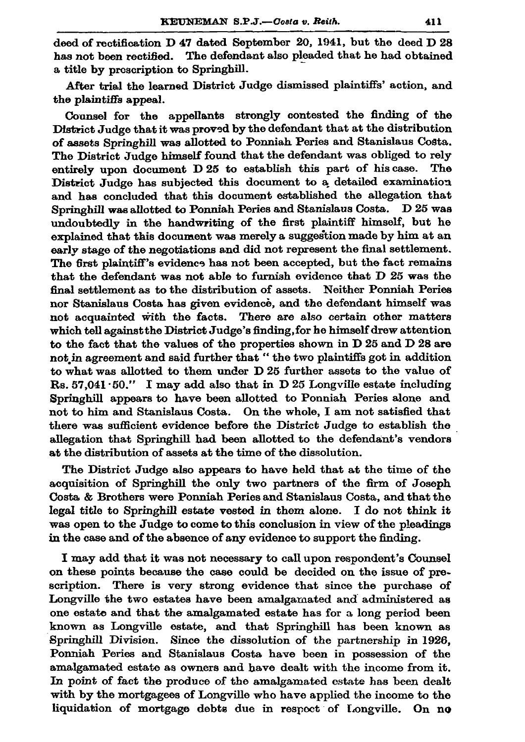deed of rectification D 47 dated September 20, 1941, but the deed D 28 has not been rectified. The defendant also pleaded that he had obtained a title by prescription to Springhill.

After trial the learned District Judge dismissed plaintiffs' action. and the plaintiffs appeal.

Counsel for the appellants strongly contested the finding of the District Judge that it was proved by the defendant that at the distribution of assets Springhill was allotted to Ponniah Peries and Stanislaus Costa. The District Judge himself found that the defendant was obliged to rely entirely upon document D 25 to establish this part of his case. The District Judge has subjected this document to a detailed examination and has concluded that this document established the allegation that Springhill was allotted to Ponniah Peries and Stanislaus Costa. D 25 was undoubtedly in the handwriting of the first plaintiff himself, but he explained that this document was merely a suggestion made by him at an early stage of the negotiations and did not represent the final settlement. The first plaintiff's evidence has not been accepted, but the fact remains that the defendant was not able to furnish evidence that D 25 was the final settlement as to the distribution of assets. Neither Ponniah Peries nor Stanislaus Costa has given evidence, and the defendant himself was not acquainted with the facts. There are also certain other matters which tell against the District Judge's finding, for he himself drew attention to the fact that the values of the properties shown in D 25 and D 28 are not in agreement and said further that "the two plaintiffs got in addition to what was allotted to them under D 25 further assets to the value of Rs. 57,041.50." I may add also that in D 25 Longville estate including Springhill appears to have been allotted to Ponniah Peries alone and not to him and Stanislaus Costa. On the whole, I am not satisfied that there was sufficient evidence before the District Judge to establish the allegation that Springhill had been allotted to the defendant's vendors at the distribution of assets at the time of the dissolution.

The District Judge also appears to have held that at the time of the acquisition of Springhill the only two partners of the firm of Joseph Costa & Brothers were Ponniah Peries and Stanislaus Costa, and that the legal title to Springhill estate vested in them alone. I do not think it was open to the Judge to come to this conclusion in view of the pleadings in the case and of the absence of any evidence to support the finding.

I may add that it was not necessary to call upon respondent's Counsel on these points because the case could be decided on the issue of prescription. There is very strong evidence that since the purchase of Longville the two estates have been amalgamated and administered as one estate and that the amalgamated estate has for a long period been known as Longville estate, and that Springhill has been known as Springhill Division. Since the dissolution of the partnership in 1926, Ponniah Peries and Stanislaus Costa have been in possession of the amalgamated estate as owners and have dealt with the income from it. In point of fact the produce of the amalgamated estate has been dealt with by the mortgagees of Longville who have applied the income to the liquidation of mortgage debts due in respect of Longville. On no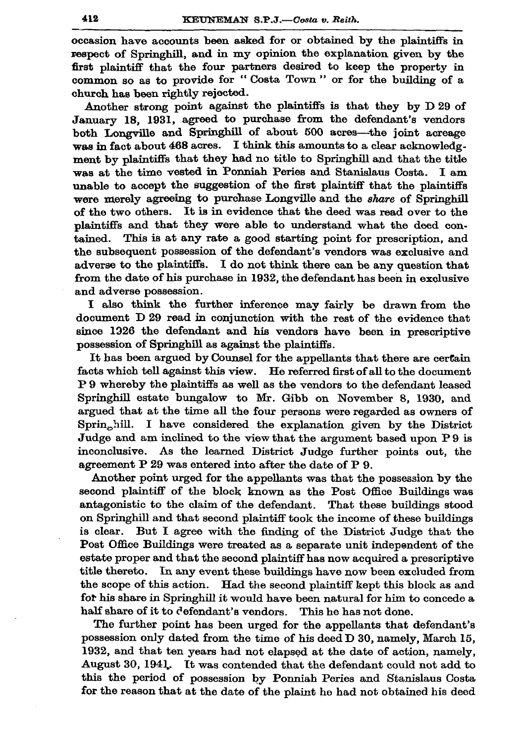occasion have accounts been asked for or obtained by the plaintiffs in respect of Springhill, and in my opinion the explanation given by the first plaintiff that the four partners desired to keep the property in common so as to provide for "Costa Town" or for the building of a church has been rightly rejected.

Another strong point against the plaintiffs is that they by D 29 of January 18, 1931, agreed to purchase from the defendant's vendors both Longville and Springhill of about 500 acres-the joint acreage was in fact about 468 acres. I think this amounts to a clear acknowledgment by plaintiffs that they had no title to Springhill and that the title was at the time vested in Ponniah Peries and Stanislaus Costa. I am unable to accept the suggestion of the first plaintiff that the plaintiffs were merely agreeing to purchase Longville and the share of Springhill of the two others. It is in evidence that the deed was read over to the plaintiffs and that they were able to understand what the deed con-This is at any rate a good starting point for prescription, and  $tained.$ the subsequent possession of the defendant's vendors was exclusive and adverse to the plaintiffs. I do not think there can be any question that from the date of his purchase in 1932, the defendant has been in exclusive and adverse possession.

I also think the further inference may fairly be drawn from the document D 29 read in conjunction with the rest of the evidence that since 1926 the defendant and his vendors have been in prescriptive possession of Springhill as against the plaintiffs.

It has been argued by Counsel for the appellants that there are certain facts which tell against this view. He referred first of all to the document P 9 whereby the plaintiffs as well as the vendors to the defendant leased Springhill estate bungalow to Mr. Gibb on November 8, 1930, and argued that at the time all the four persons were regarded as owners of Springhill. I have considered the explanation given by the District Judge and am inclined to the view that the argument based upon P9 is inconclusive. As the learned District Judge further points out, the agreement P 29 was entered into after the date of P 9.

Another point urged for the appellants was that the possession by the second plaintiff of the block known as the Post Office Buildings was antagonistic to the claim of the defendant. That these buildings stood on Springhill and that second plaintiff took the income of these buildings is clear. But I agree with the finding of the District Judge that the Post Office Buildings were treated as a separate unit independent of the estate proper and that the second plaintiff has now acquired a prescriptive title thereto. In any event these buildings have now been excluded from the scope of this action. Had the second plaintiff kept this block as and for his share in Springhill it would have been natural for him to concede a half share of it to defendant's vendors. This he has not done.

The further point has been urged for the appellants that defendant's possession only dated from the time of his deed D 30, namely, March 15, 1932, and that ten years had not elapsed at the date of action, namely, August 30, 1941. It was contended that the defendant could not add to this the period of possession by Ponniah Peries and Stanislaus Costa for the reason that at the date of the plaint he had not obtained his deed